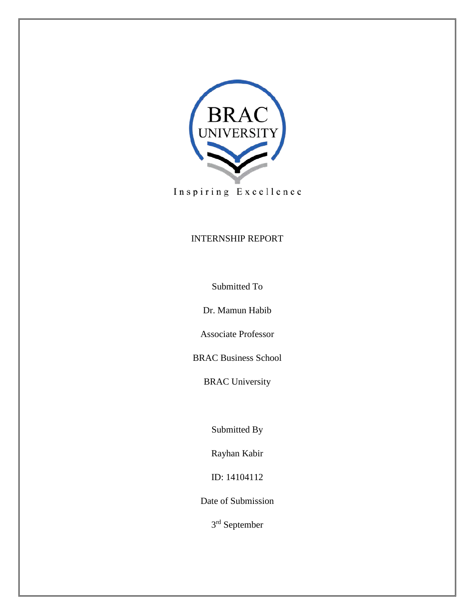

Inspiring Excellence

# INTERNSHIP REPORT

Submitted To

Dr. Mamun Habib

Associate Professor

BRAC Business School

BRAC University

Submitted By

Rayhan Kabir

ID: 14104112

Date of Submission

3rd September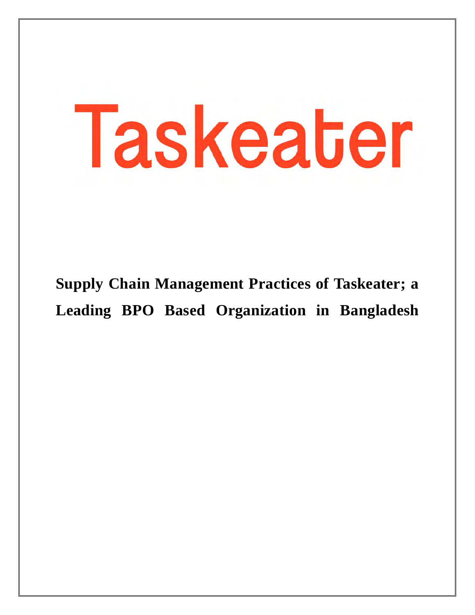# Taskeater

**Supply Chain Management Practices of Taskeater; a Leading BPO Based Organization in Bangladesh**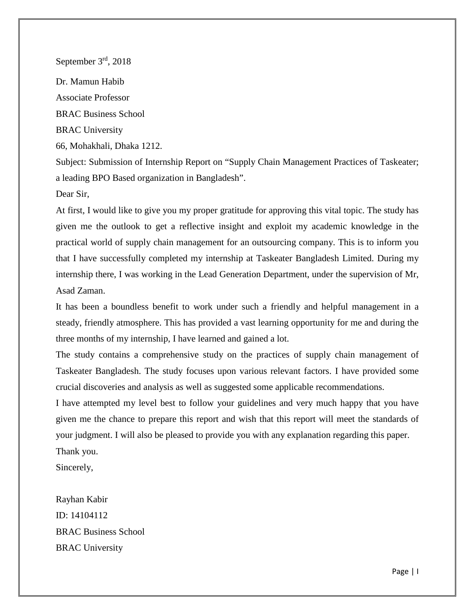September 3rd, 2018 Dr. Mamun Habib Associate Professor BRAC Business School BRAC University 66, Mohakhali, Dhaka 1212.

Subject: Submission of Internship Report on "Supply Chain Management Practices of Taskeater; a leading BPO Based organization in Bangladesh".

Dear Sir,

At first, I would like to give you my proper gratitude for approving this vital topic. The study has given me the outlook to get a reflective insight and exploit my academic knowledge in the practical world of supply chain management for an outsourcing company. This is to inform you that I have successfully completed my internship at Taskeater Bangladesh Limited. During my internship there, I was working in the Lead Generation Department, under the supervision of Mr, Asad Zaman.

It has been a boundless benefit to work under such a friendly and helpful management in a steady, friendly atmosphere. This has provided a vast learning opportunity for me and during the three months of my internship, I have learned and gained a lot.

The study contains a comprehensive study on the practices of supply chain management of Taskeater Bangladesh. The study focuses upon various relevant factors. I have provided some crucial discoveries and analysis as well as suggested some applicable recommendations.

I have attempted my level best to follow your guidelines and very much happy that you have given me the chance to prepare this report and wish that this report will meet the standards of your judgment. I will also be pleased to provide you with any explanation regarding this paper. Thank you.

Sincerely,

Rayhan Kabir ID: 14104112 BRAC Business School BRAC University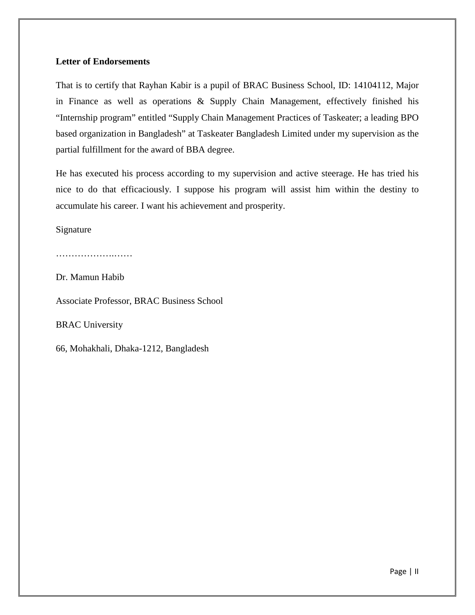# **Letter of Endorsements**

That is to certify that Rayhan Kabir is a pupil of BRAC Business School, ID: 14104112, Major in Finance as well as operations & Supply Chain Management, effectively finished his "Internship program" entitled "Supply Chain Management Practices of Taskeater; a leading BPO based organization in Bangladesh" at Taskeater Bangladesh Limited under my supervision as the partial fulfillment for the award of BBA degree.

He has executed his process according to my supervision and active steerage. He has tried his nice to do that efficaciously. I suppose his program will assist him within the destiny to accumulate his career. I want his achievement and prosperity.

Signature

……………………………

Dr. Mamun Habib

Associate Professor, BRAC Business School

BRAC University

66, Mohakhali, Dhaka-1212, Bangladesh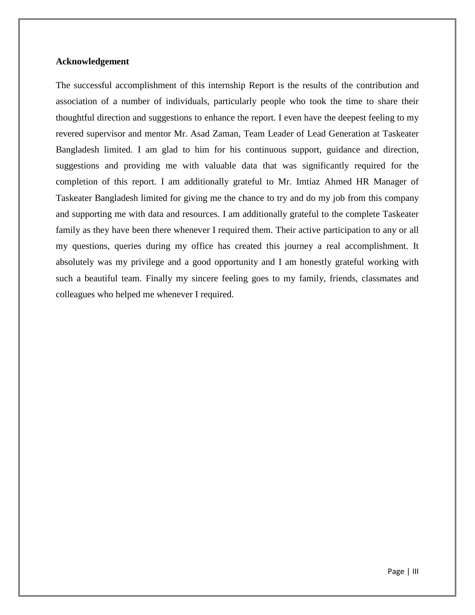### **Acknowledgement**

The successful accomplishment of this internship Report is the results of the contribution and association of a number of individuals, particularly people who took the time to share their thoughtful direction and suggestions to enhance the report. I even have the deepest feeling to my revered supervisor and mentor Mr. Asad Zaman, Team Leader of Lead Generation at Taskeater Bangladesh limited. I am glad to him for his continuous support, guidance and direction, suggestions and providing me with valuable data that was significantly required for the completion of this report. I am additionally grateful to Mr. Imtiaz Ahmed HR Manager of Taskeater Bangladesh limited for giving me the chance to try and do my job from this company and supporting me with data and resources. I am additionally grateful to the complete Taskeater family as they have been there whenever I required them. Their active participation to any or all my questions, queries during my office has created this journey a real accomplishment. It absolutely was my privilege and a good opportunity and I am honestly grateful working with such a beautiful team. Finally my sincere feeling goes to my family, friends, classmates and colleagues who helped me whenever I required.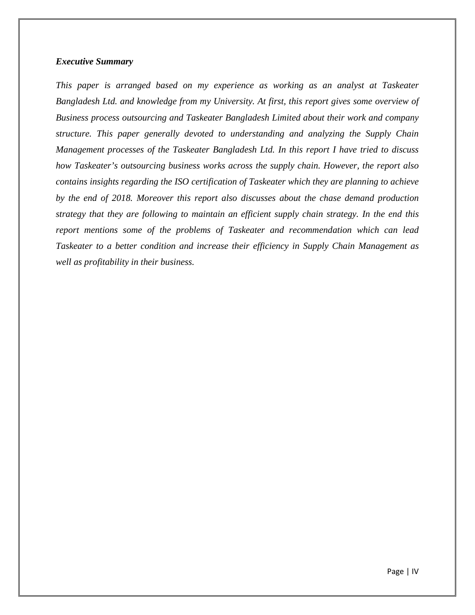## *Executive Summary*

*This paper is arranged based on my experience as working as an analyst at Taskeater Bangladesh Ltd. and knowledge from my University. At first, this report gives some overview of Business process outsourcing and Taskeater Bangladesh Limited about their work and company structure. This paper generally devoted to understanding and analyzing the Supply Chain Management processes of the Taskeater Bangladesh Ltd. In this report I have tried to discuss how Taskeater's outsourcing business works across the supply chain. However, the report also contains insights regarding the ISO certification of Taskeater which they are planning to achieve by the end of 2018. Moreover this report also discusses about the chase demand production strategy that they are following to maintain an efficient supply chain strategy. In the end this report mentions some of the problems of Taskeater and recommendation which can lead Taskeater to a better condition and increase their efficiency in Supply Chain Management as well as profitability in their business.*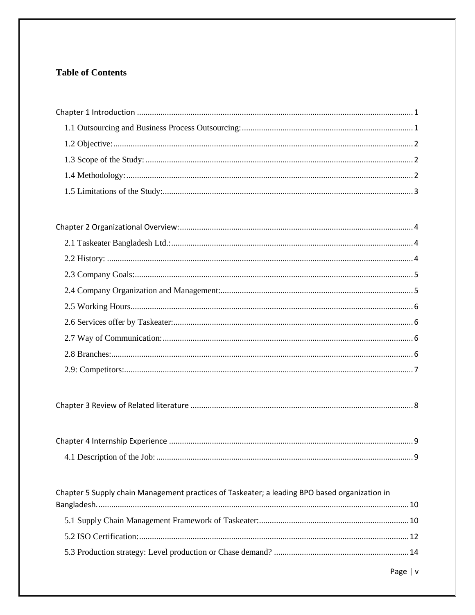# **Table of Contents**

| Chapter 5 Supply chain Management practices of Taskeater; a leading BPO based organization in |  |
|-----------------------------------------------------------------------------------------------|--|
|                                                                                               |  |
|                                                                                               |  |
|                                                                                               |  |
|                                                                                               |  |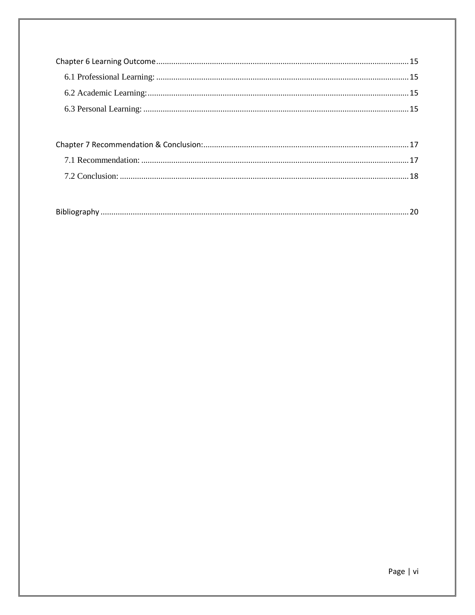| <b>Diki</b><br><b>BIDII</b> |  |
|-----------------------------|--|
|-----------------------------|--|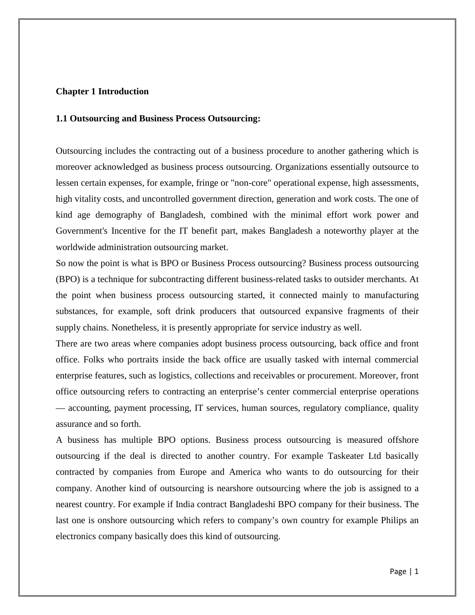# <span id="page-8-0"></span>**Chapter 1 Introduction**

### <span id="page-8-1"></span>**1.1 Outsourcing and Business Process Outsourcing:**

Outsourcing includes the contracting out of a business procedure to another gathering which is moreover acknowledged as business process outsourcing. Organizations essentially outsource to lessen certain expenses, for example, fringe or "non-core" operational expense, high assessments, high vitality costs, and uncontrolled government direction, generation and work costs. The one of kind age demography of Bangladesh, combined with the minimal effort work power and Government's Incentive for the IT benefit part, makes Bangladesh a noteworthy player at the worldwide administration outsourcing market.

So now the point is what is BPO or Business Process outsourcing? Business process outsourcing (BPO) is a technique for subcontracting different business-related tasks to outsider merchants. At the point when business process outsourcing started, it connected mainly to manufacturing substances, for example, soft drink producers that outsourced expansive fragments of their supply chains. Nonetheless, it is presently appropriate for service industry as well.

There are two areas where companies adopt business process outsourcing, back office and front office. Folks who portraits inside the back office are usually tasked with internal commercial enterprise features, such as logistics, collections and receivables or procurement. Moreover, front office outsourcing refers to contracting an enterprise's center commercial enterprise operations — accounting, payment processing, IT services, human sources, regulatory compliance, quality assurance and so forth.

A business has multiple BPO options. Business process outsourcing is measured offshore outsourcing if the deal is directed to another country. For example Taskeater Ltd basically contracted by companies from Europe and America who wants to do outsourcing for their company. Another kind of outsourcing is nearshore outsourcing where the job is assigned to a nearest country. For example if India contract Bangladeshi BPO company for their business. The last one is onshore outsourcing which refers to company's own country for example Philips an electronics company basically does this kind of outsourcing.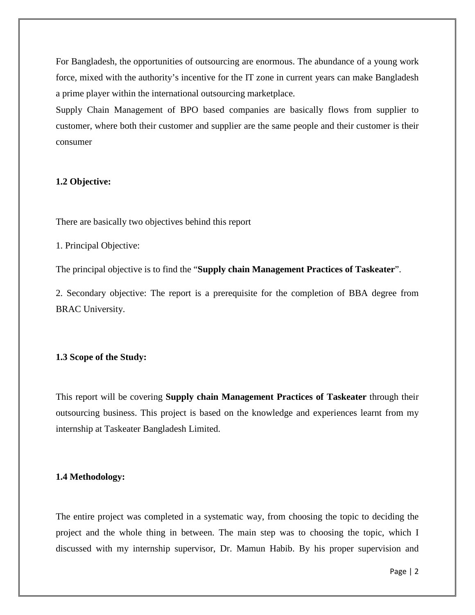For Bangladesh, the opportunities of outsourcing are enormous. The abundance of a young work force, mixed with the authority's incentive for the IT zone in current years can make Bangladesh a prime player within the international outsourcing marketplace.

Supply Chain Management of BPO based companies are basically flows from supplier to customer, where both their customer and supplier are the same people and their customer is their consumer

# <span id="page-9-0"></span>**1.2 Objective:**

There are basically two objectives behind this report

1. Principal Objective:

The principal objective is to find the "**Supply chain Management Practices of Taskeater**".

2. Secondary objective: The report is a prerequisite for the completion of BBA degree from BRAC University.

### <span id="page-9-1"></span>**1.3 Scope of the Study:**

This report will be covering **Supply chain Management Practices of Taskeater** through their outsourcing business. This project is based on the knowledge and experiences learnt from my internship at Taskeater Bangladesh Limited.

### <span id="page-9-2"></span>**1.4 Methodology:**

The entire project was completed in a systematic way, from choosing the topic to deciding the project and the whole thing in between. The main step was to choosing the topic, which I discussed with my internship supervisor, Dr. Mamun Habib. By his proper supervision and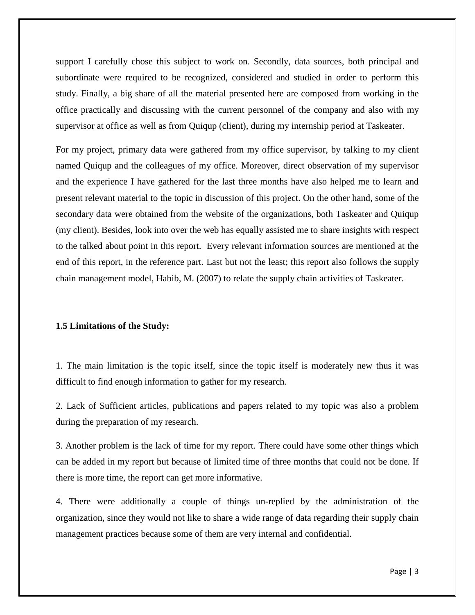support I carefully chose this subject to work on. Secondly, data sources, both principal and subordinate were required to be recognized, considered and studied in order to perform this study. Finally, a big share of all the material presented here are composed from working in the office practically and discussing with the current personnel of the company and also with my supervisor at office as well as from Quiqup (client), during my internship period at Taskeater.

For my project, primary data were gathered from my office supervisor, by talking to my client named Quiqup and the colleagues of my office. Moreover, direct observation of my supervisor and the experience I have gathered for the last three months have also helped me to learn and present relevant material to the topic in discussion of this project. On the other hand, some of the secondary data were obtained from the website of the organizations, both Taskeater and Quiqup (my client). Besides, look into over the web has equally assisted me to share insights with respect to the talked about point in this report. Every relevant information sources are mentioned at the end of this report, in the reference part. Last but not the least; this report also follows the supply chain management model, Habib, M. (2007) to relate the supply chain activities of Taskeater.

### <span id="page-10-0"></span>**1.5 Limitations of the Study:**

1. The main limitation is the topic itself, since the topic itself is moderately new thus it was difficult to find enough information to gather for my research.

2. Lack of Sufficient articles, publications and papers related to my topic was also a problem during the preparation of my research.

3. Another problem is the lack of time for my report. There could have some other things which can be added in my report but because of limited time of three months that could not be done. If there is more time, the report can get more informative.

4. There were additionally a couple of things un-replied by the administration of the organization, since they would not like to share a wide range of data regarding their supply chain management practices because some of them are very internal and confidential.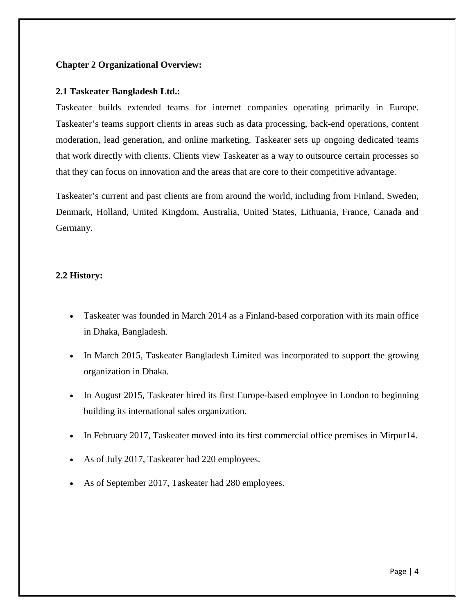# <span id="page-11-0"></span>**Chapter 2 Organizational Overview:**

# <span id="page-11-1"></span>**2.1 Taskeater Bangladesh Ltd.:**

Taskeater builds extended teams for internet companies operating primarily in Europe. Taskeater's teams support clients in areas such as data processing, back-end operations, content moderation, lead generation, and online marketing. Taskeater sets up ongoing dedicated teams that work directly with clients. Clients view Taskeater as a way to outsource certain processes so that they can focus on innovation and the areas that are core to their competitive advantage.

Taskeater's current and past clients are from around the world, including from Finland, Sweden, Denmark, Holland, United Kingdom, Australia, United States, Lithuania, France, Canada and Germany.

# <span id="page-11-2"></span>**2.2 History:**

- Taskeater was founded in March 2014 as a Finland-based corporation with its main office in Dhaka, Bangladesh.
- In March 2015, Taskeater Bangladesh Limited was incorporated to support the growing organization in Dhaka.
- In August 2015, Taskeater hired its first Europe-based employee in London to beginning building its international sales organization.
- In February 2017, Taskeater moved into its first commercial office premises in Mirpur14.
- As of July 2017, Taskeater had 220 employees.
- As of September 2017, Taskeater had 280 employees.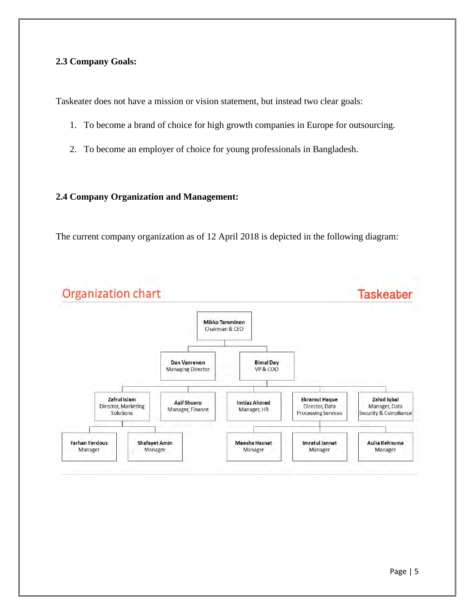# <span id="page-12-0"></span>**2.3 Company Goals:**

Taskeater does not have a mission or vision statement, but instead two clear goals:

- 1. To become a brand of choice for high growth companies in Europe for outsourcing.
- 2. To become an employer of choice for young professionals in Bangladesh.

### <span id="page-12-1"></span>**2.4 Company Organization and Management:**

The current company organization as of 12 April 2018 is depicted in the following diagram:

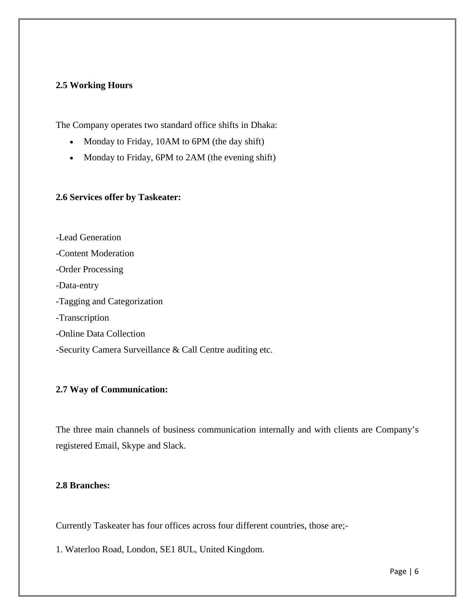# <span id="page-13-0"></span>**2.5 Working Hours**

The Company operates two standard office shifts in Dhaka:

- Monday to Friday, 10AM to 6PM (the day shift)
- Monday to Friday, 6PM to 2AM (the evening shift)

# <span id="page-13-1"></span>**2.6 Services offer by Taskeater:**

-Lead Generation -Content Moderation -Order Processing -Data-entry -Tagging and Categorization -Transcription -Online Data Collection -Security Camera Surveillance & Call Centre auditing etc.

# <span id="page-13-2"></span>**2.7 Way of Communication:**

The three main channels of business communication internally and with clients are Company's registered Email, Skype and Slack.

# <span id="page-13-3"></span>**2.8 Branches:**

Currently Taskeater has four offices across four different countries, those are;-

1. Waterloo Road, London, SE1 8UL, United Kingdom.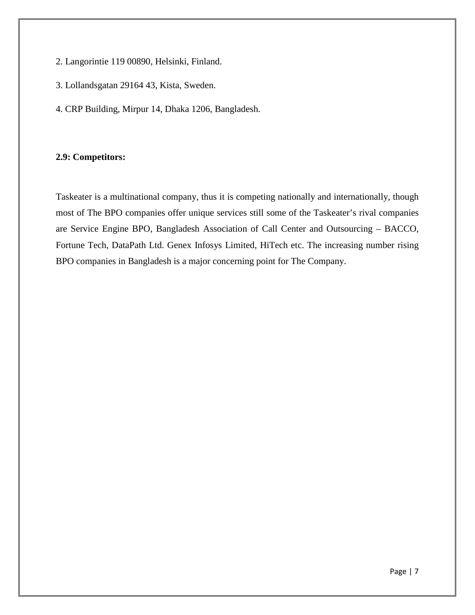- 2. Langorintie 119 00890, Helsinki, Finland.
- 3. Lollandsgatan 29164 43, Kista, Sweden.
- 4. CRP Building, Mirpur 14, Dhaka 1206, Bangladesh.

# <span id="page-14-0"></span>**2.9: Competitors:**

Taskeater is a multinational company, thus it is competing nationally and internationally, though most of The BPO companies offer unique services still some of the Taskeater's rival companies are Service Engine BPO, Bangladesh Association of Call Center and Outsourcing – BACCO, Fortune Tech, DataPath Ltd. Genex Infosys Limited, HiTech etc. The increasing number rising BPO companies in Bangladesh is a major concerning point for The Company.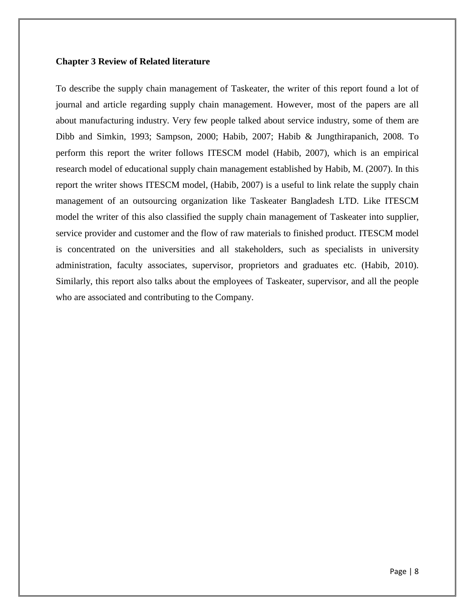## <span id="page-15-0"></span>**Chapter 3 Review of Related literature**

To describe the supply chain management of Taskeater, the writer of this report found a lot of journal and article regarding supply chain management. However, most of the papers are all about manufacturing industry. Very few people talked about service industry, some of them are Dibb and Simkin, 1993; Sampson, 2000; Habib, 2007; Habib & Jungthirapanich, 2008. To perform this report the writer follows ITESCM model (Habib, 2007), which is an empirical research model of educational supply chain management established by Habib, M. (2007). In this report the writer shows ITESCM model, (Habib, 2007) is a useful to link relate the supply chain management of an outsourcing organization like Taskeater Bangladesh LTD. Like ITESCM model the writer of this also classified the supply chain management of Taskeater into supplier, service provider and customer and the flow of raw materials to finished product. ITESCM model is concentrated on the universities and all stakeholders, such as specialists in university administration, faculty associates, supervisor, proprietors and graduates etc. (Habib, 2010). Similarly, this report also talks about the employees of Taskeater, supervisor, and all the people who are associated and contributing to the Company.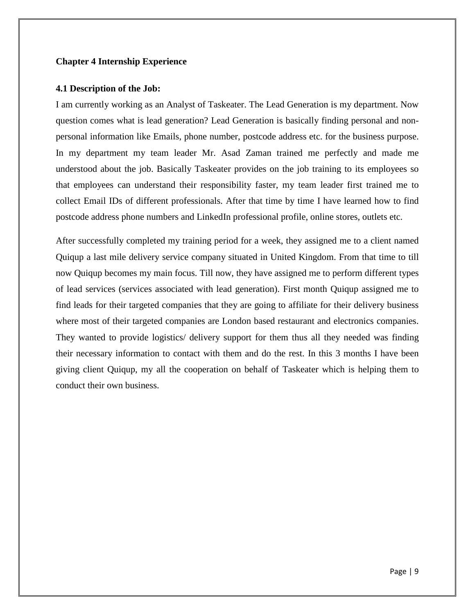# <span id="page-16-0"></span>**Chapter 4 Internship Experience**

# <span id="page-16-1"></span>**4.1 Description of the Job:**

I am currently working as an Analyst of Taskeater. The Lead Generation is my department. Now question comes what is lead generation? Lead Generation is basically finding personal and nonpersonal information like Emails, phone number, postcode address etc. for the business purpose. In my department my team leader Mr. Asad Zaman trained me perfectly and made me understood about the job. Basically Taskeater provides on the job training to its employees so that employees can understand their responsibility faster, my team leader first trained me to collect Email IDs of different professionals. After that time by time I have learned how to find postcode address phone numbers and LinkedIn professional profile, online stores, outlets etc.

After successfully completed my training period for a week, they assigned me to a client named Quiqup a last mile delivery service company situated in United Kingdom. From that time to till now Quiqup becomes my main focus. Till now, they have assigned me to perform different types of lead services (services associated with lead generation). First month Quiqup assigned me to find leads for their targeted companies that they are going to affiliate for their delivery business where most of their targeted companies are London based restaurant and electronics companies. They wanted to provide logistics/ delivery support for them thus all they needed was finding their necessary information to contact with them and do the rest. In this 3 months I have been giving client Quiqup, my all the cooperation on behalf of Taskeater which is helping them to conduct their own business.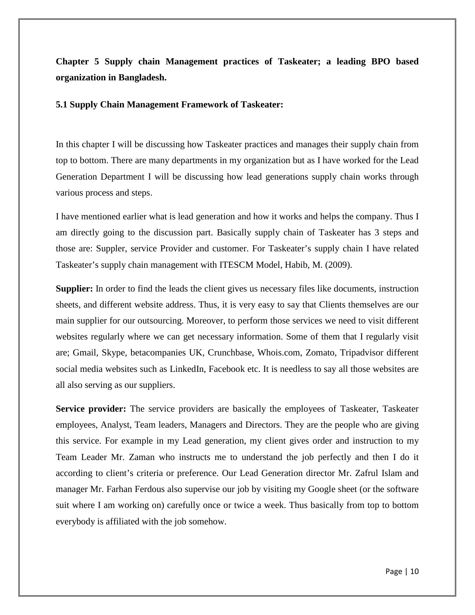<span id="page-17-0"></span>**Chapter 5 Supply chain Management practices of Taskeater; a leading BPO based organization in Bangladesh.** 

### <span id="page-17-1"></span>**5.1 Supply Chain Management Framework of Taskeater:**

In this chapter I will be discussing how Taskeater practices and manages their supply chain from top to bottom. There are many departments in my organization but as I have worked for the Lead Generation Department I will be discussing how lead generations supply chain works through various process and steps.

I have mentioned earlier what is lead generation and how it works and helps the company. Thus I am directly going to the discussion part. Basically supply chain of Taskeater has 3 steps and those are: Suppler, service Provider and customer. For Taskeater's supply chain I have related Taskeater's supply chain management with ITESCM Model, Habib, M. (2009).

**Supplier:** In order to find the leads the client gives us necessary files like documents, instruction sheets, and different website address. Thus, it is very easy to say that Clients themselves are our main supplier for our outsourcing. Moreover, to perform those services we need to visit different websites regularly where we can get necessary information. Some of them that I regularly visit are; Gmail, Skype, betacompanies UK, Crunchbase, Whois.com, Zomato, Tripadvisor different social media websites such as LinkedIn, Facebook etc. It is needless to say all those websites are all also serving as our suppliers.

**Service provider:** The service providers are basically the employees of Taskeater, Taskeater employees, Analyst, Team leaders, Managers and Directors. They are the people who are giving this service. For example in my Lead generation, my client gives order and instruction to my Team Leader Mr. Zaman who instructs me to understand the job perfectly and then I do it according to client's criteria or preference. Our Lead Generation director Mr. Zafrul Islam and manager Mr. Farhan Ferdous also supervise our job by visiting my Google sheet (or the software suit where I am working on) carefully once or twice a week. Thus basically from top to bottom everybody is affiliated with the job somehow.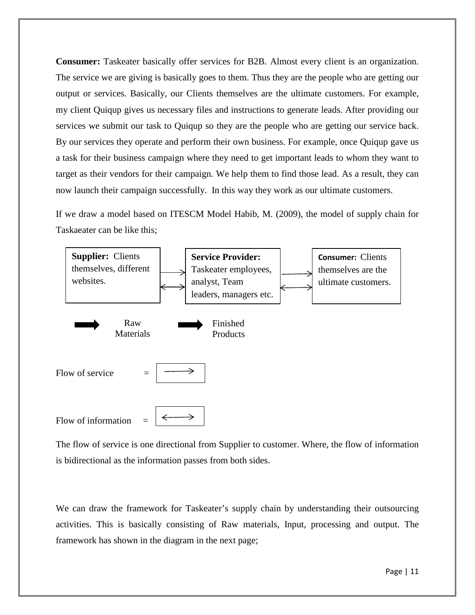**Consumer:** Taskeater basically offer services for B2B. Almost every client is an organization. The service we are giving is basically goes to them. Thus they are the people who are getting our output or services. Basically, our Clients themselves are the ultimate customers. For example, my client Quiqup gives us necessary files and instructions to generate leads. After providing our services we submit our task to Quiqup so they are the people who are getting our service back. By our services they operate and perform their own business. For example, once Quiqup gave us a task for their business campaign where they need to get important leads to whom they want to target as their vendors for their campaign. We help them to find those lead. As a result, they can now launch their campaign successfully. In this way they work as our ultimate customers.

If we draw a model based on ITESCM Model Habib, M. (2009), the model of supply chain for Taskaeater can be like this;



The flow of service is one directional from Supplier to customer. Where, the flow of information is bidirectional as the information passes from both sides.

We can draw the framework for Taskeater's supply chain by understanding their outsourcing activities. This is basically consisting of Raw materials, Input, processing and output. The framework has shown in the diagram in the next page;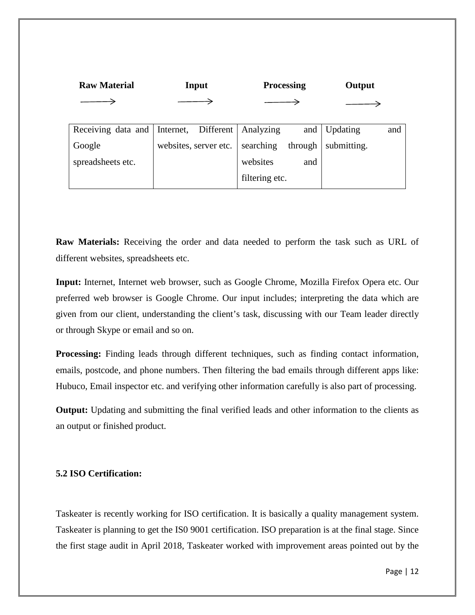| <b>Raw Material</b> | Input |                       | <b>Processing</b>               |         | Output          |     |
|---------------------|-------|-----------------------|---------------------------------|---------|-----------------|-----|
|                     |       |                       |                                 |         |                 |     |
|                     |       |                       |                                 |         |                 |     |
| Receiving data and  |       |                       | Internet, Different   Analyzing | and     | <b>Updating</b> | and |
| Google              |       | websites, server etc. | searching                       | through | submitting.     |     |
| spreadsheets etc.   |       |                       | websites                        | and     |                 |     |
|                     |       |                       | filtering etc.                  |         |                 |     |

**Raw Materials:** Receiving the order and data needed to perform the task such as URL of different websites, spreadsheets etc.

**Input:** Internet, Internet web browser, such as Google Chrome, Mozilla Firefox Opera etc. Our preferred web browser is Google Chrome. Our input includes; interpreting the data which are given from our client, understanding the client's task, discussing with our Team leader directly or through Skype or email and so on.

**Processing:** Finding leads through different techniques, such as finding contact information, emails, postcode, and phone numbers. Then filtering the bad emails through different apps like: Hubuco, Email inspector etc. and verifying other information carefully is also part of processing.

**Output:** Updating and submitting the final verified leads and other information to the clients as an output or finished product.

# <span id="page-19-0"></span>**5.2 ISO Certification:**

Taskeater is recently working for ISO certification. It is basically a quality management system. Taskeater is planning to get the IS0 9001 certification. ISO preparation is at the final stage. Since the first stage audit in April 2018, Taskeater worked with improvement areas pointed out by the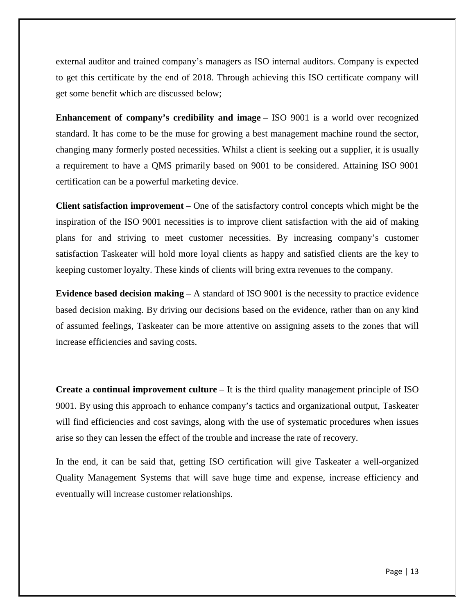external auditor and trained company's managers as ISO internal auditors. Company is expected to get this certificate by the end of 2018. Through achieving this ISO certificate company will get some benefit which are discussed below;

**Enhancement of company's credibility and image** – ISO 9001 is a world over recognized standard. It has come to be the muse for growing a best management machine round the sector, changing many formerly posted necessities. Whilst a client is seeking out a supplier, it is usually a requirement to have a QMS primarily based on 9001 to be considered. Attaining ISO 9001 certification can be a powerful marketing device.

**Client satisfaction improvement** – One of the satisfactory control concepts which might be the inspiration of the ISO 9001 necessities is to improve client satisfaction with the aid of making plans for and striving to meet customer necessities. By increasing company's customer satisfaction Taskeater will hold more loyal clients as happy and satisfied clients are the key to keeping customer loyalty. These kinds of clients will bring extra revenues to the company.

**Evidence based decision making** – A standard of ISO 9001 is the necessity to practice evidence based decision making. By driving our decisions based on the evidence, rather than on any kind of assumed feelings, Taskeater can be more attentive on assigning assets to the zones that will increase efficiencies and saving costs.

**Create a continual improvement culture** – It is the third quality management principle of ISO 9001. By using this approach to enhance company's tactics and organizational output, Taskeater will find efficiencies and cost savings, along with the use of systematic procedures when issues arise so they can lessen the effect of the trouble and increase the rate of recovery.

In the end, it can be said that, getting ISO certification will give Taskeater a well-organized Quality Management Systems that will save huge time and expense, increase efficiency and eventually will increase customer relationships.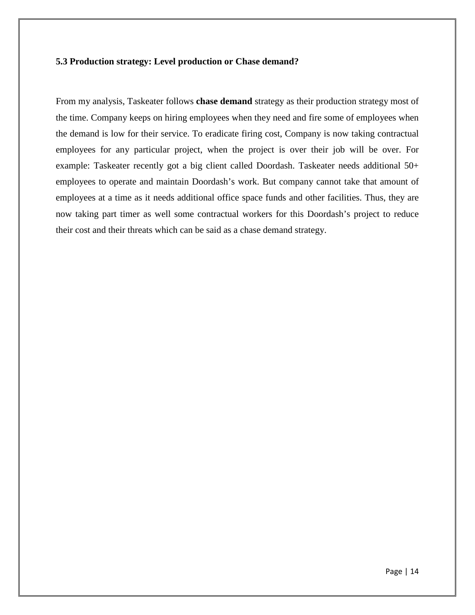# <span id="page-21-0"></span>**5.3 Production strategy: Level production or Chase demand?**

From my analysis, Taskeater follows **chase demand** strategy as their production strategy most of the time. Company keeps on hiring employees when they need and fire some of employees when the demand is low for their service. To eradicate firing cost, Company is now taking contractual employees for any particular project, when the project is over their job will be over. For example: Taskeater recently got a big client called Doordash. Taskeater needs additional 50+ employees to operate and maintain Doordash's work. But company cannot take that amount of employees at a time as it needs additional office space funds and other facilities. Thus, they are now taking part timer as well some contractual workers for this Doordash's project to reduce their cost and their threats which can be said as a chase demand strategy.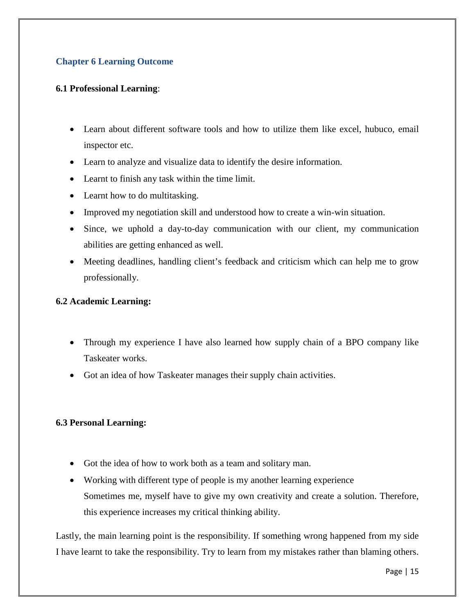# <span id="page-22-0"></span>**Chapter 6 Learning Outcome**

# <span id="page-22-1"></span>**6.1 Professional Learning**:

- Learn about different software tools and how to utilize them like excel, hubuco, email inspector etc.
- Learn to analyze and visualize data to identify the desire information.
- Learnt to finish any task within the time limit.
- Learnt how to do multitasking.
- Improved my negotiation skill and understood how to create a win-win situation.
- Since, we uphold a day-to-day communication with our client, my communication abilities are getting enhanced as well.
- Meeting deadlines, handling client's feedback and criticism which can help me to grow professionally.

# <span id="page-22-2"></span>**6.2 Academic Learning:**

- Through my experience I have also learned how supply chain of a BPO company like Taskeater works.
- Got an idea of how Taskeater manages their supply chain activities.

# <span id="page-22-3"></span>**6.3 Personal Learning:**

- Got the idea of how to work both as a team and solitary man.
- Working with different type of people is my another learning experience Sometimes me, myself have to give my own creativity and create a solution. Therefore, this experience increases my critical thinking ability.

Lastly, the main learning point is the responsibility. If something wrong happened from my side I have learnt to take the responsibility. Try to learn from my mistakes rather than blaming others.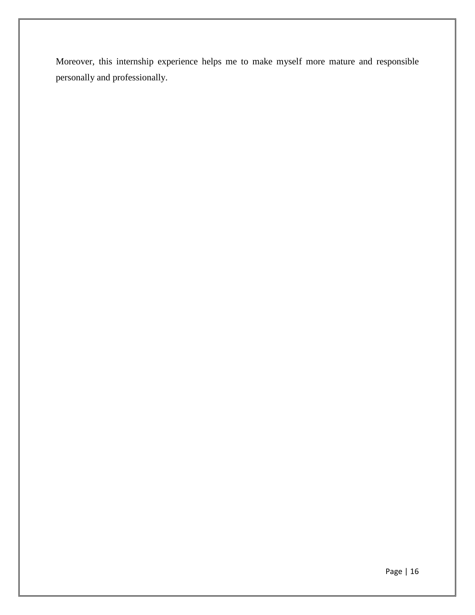Moreover, this internship experience helps me to make myself more mature and responsible personally and professionally.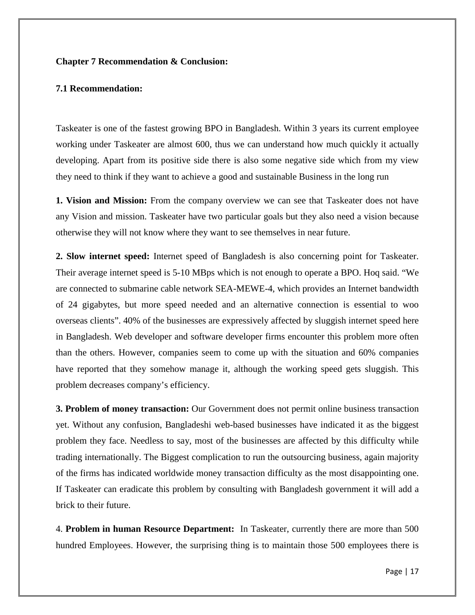## <span id="page-24-0"></span>**Chapter 7 Recommendation & Conclusion:**

### <span id="page-24-1"></span>**7.1 Recommendation:**

Taskeater is one of the fastest growing BPO in Bangladesh. Within 3 years its current employee working under Taskeater are almost 600, thus we can understand how much quickly it actually developing. Apart from its positive side there is also some negative side which from my view they need to think if they want to achieve a good and sustainable Business in the long run

**1. Vision and Mission:** From the company overview we can see that Taskeater does not have any Vision and mission. Taskeater have two particular goals but they also need a vision because otherwise they will not know where they want to see themselves in near future.

**2. Slow internet speed:** Internet speed of Bangladesh is also concerning point for Taskeater. Their average internet speed is 5-10 MBps which is not enough to operate a BPO. Hoq said. "We are connected to submarine cable network SEA-MEWE-4, which provides an Internet bandwidth of 24 gigabytes, but more speed needed and an alternative connection is essential to woo overseas clients". 40% of the businesses are expressively affected by sluggish internet speed here in Bangladesh. Web developer and software developer firms encounter this problem more often than the others. However, companies seem to come up with the situation and 60% companies have reported that they somehow manage it, although the working speed gets sluggish. This problem decreases company's efficiency.

**3. Problem of money transaction:** Our Government does not permit online business transaction yet. Without any confusion, Bangladeshi web-based businesses have indicated it as the biggest problem they face. Needless to say, most of the businesses are affected by this difficulty while trading internationally. The Biggest complication to run the outsourcing business, again majority of the firms has indicated worldwide money transaction difficulty as the most disappointing one. If Taskeater can eradicate this problem by consulting with Bangladesh government it will add a brick to their future.

4. **Problem in human Resource Department:** In Taskeater, currently there are more than 500 hundred Employees. However, the surprising thing is to maintain those 500 employees there is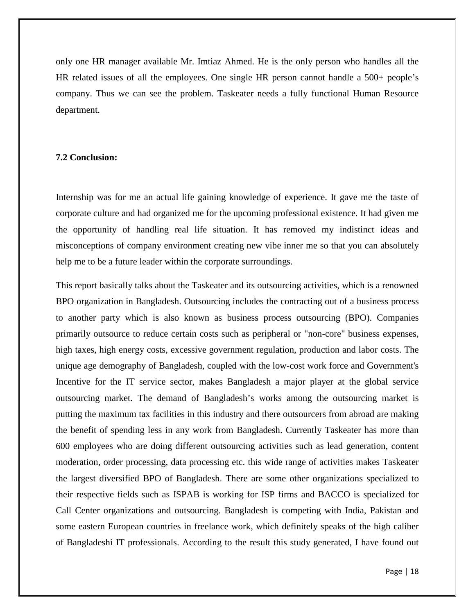only one HR manager available Mr. Imtiaz Ahmed. He is the only person who handles all the HR related issues of all the employees. One single HR person cannot handle a 500+ people's company. Thus we can see the problem. Taskeater needs a fully functional Human Resource department.

### <span id="page-25-0"></span>**7.2 Conclusion:**

Internship was for me an actual life gaining knowledge of experience. It gave me the taste of corporate culture and had organized me for the upcoming professional existence. It had given me the opportunity of handling real life situation. It has removed my indistinct ideas and misconceptions of company environment creating new vibe inner me so that you can absolutely help me to be a future leader within the corporate surroundings.

This report basically talks about the Taskeater and its outsourcing activities, which is a renowned BPO organization in Bangladesh. Outsourcing includes the contracting out of a business process to another party which is also known as business process outsourcing (BPO). Companies primarily outsource to reduce certain costs such as peripheral or "non-core" business expenses, high taxes, high energy costs, excessive government regulation, production and labor costs. The unique age demography of Bangladesh, coupled with the low-cost work force and Government's Incentive for the IT service sector, makes Bangladesh a major player at the global service outsourcing market. The demand of Bangladesh's works among the outsourcing market is putting the maximum tax facilities in this industry and there outsourcers from abroad are making the benefit of spending less in any work from Bangladesh. Currently Taskeater has more than 600 employees who are doing different outsourcing activities such as lead generation, content moderation, order processing, data processing etc. this wide range of activities makes Taskeater the largest diversified BPO of Bangladesh. There are some other organizations specialized to their respective fields such as ISPAB is working for ISP firms and BACCO is specialized for Call Center organizations and outsourcing. Bangladesh is competing with India, Pakistan and some eastern European countries in freelance work, which definitely speaks of the high caliber of Bangladeshi IT professionals. According to the result this study generated, I have found out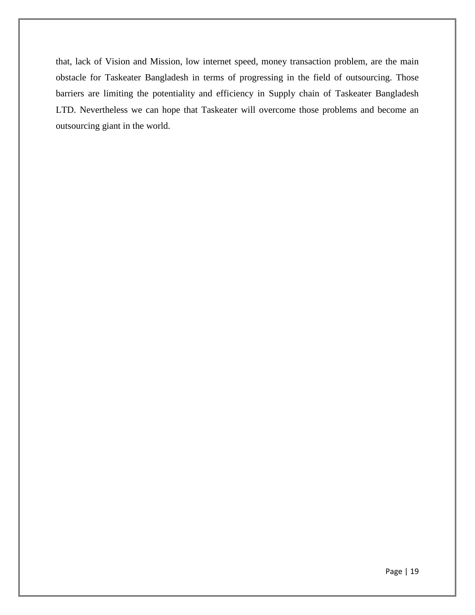that, lack of Vision and Mission, low internet speed, money transaction problem, are the main obstacle for Taskeater Bangladesh in terms of progressing in the field of outsourcing. Those barriers are limiting the potentiality and efficiency in Supply chain of Taskeater Bangladesh LTD. Nevertheless we can hope that Taskeater will overcome those problems and become an outsourcing giant in the world.